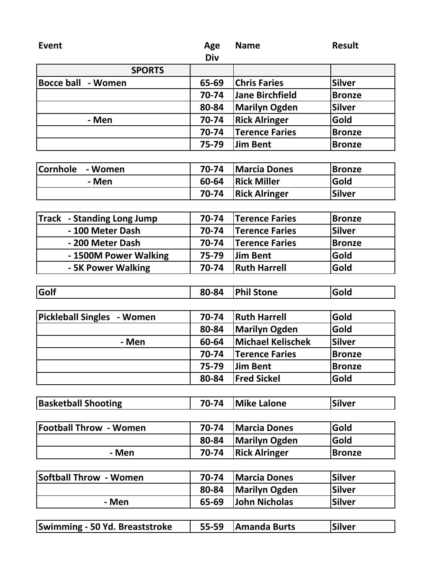| <b>Event</b>                          | Age        | <b>Name</b>              | <b>Result</b> |
|---------------------------------------|------------|--------------------------|---------------|
|                                       | <b>Div</b> |                          |               |
| <b>SPORTS</b>                         |            |                          |               |
| <b>Bocce ball - Women</b>             | 65-69      | <b>Chris Faries</b>      | <b>Silver</b> |
|                                       | 70-74      | <b>Jane Birchfield</b>   | <b>Bronze</b> |
|                                       | 80-84      | <b>Marilyn Ogden</b>     | <b>Silver</b> |
| - Men                                 | 70-74      | <b>Rick Alringer</b>     | Gold          |
|                                       | 70-74      | <b>Terence Faries</b>    | <b>Bronze</b> |
|                                       | 75-79      | <b>Jim Bent</b>          | <b>Bronze</b> |
|                                       |            |                          |               |
| Cornhole<br>- Women                   | 70-74      | <b>Marcia Dones</b>      | <b>Bronze</b> |
| - Men                                 | 60-64      | <b>Rick Miller</b>       | Gold          |
|                                       | 70-74      | <b>Rick Alringer</b>     | <b>Silver</b> |
|                                       |            |                          |               |
| <b>Track - Standing Long Jump</b>     | 70-74      | <b>Terence Faries</b>    | <b>Bronze</b> |
| - 100 Meter Dash                      | 70-74      | <b>Terence Faries</b>    | <b>Silver</b> |
| - 200 Meter Dash                      | 70-74      | <b>Terence Faries</b>    | <b>Bronze</b> |
| - 1500M Power Walking                 | 75-79      | <b>Jim Bent</b>          | Gold          |
| - 5K Power Walking                    | 70-74      | <b>Ruth Harrell</b>      | Gold          |
|                                       |            |                          |               |
| Golf                                  | 80-84      | <b>Phil Stone</b>        | Gold          |
|                                       |            |                          |               |
| <b>Pickleball Singles - Women</b>     | 70-74      | <b>Ruth Harrell</b>      | Gold          |
|                                       | 80-84      | <b>Marilyn Ogden</b>     | Gold          |
| - Men                                 | 60-64      | <b>Michael Kelischek</b> | <b>Silver</b> |
|                                       | 70-74      | <b>Terence Faries</b>    | <b>Bronze</b> |
|                                       | 75-79      | <b>Jim Bent</b>          | <b>Bronze</b> |
|                                       | 80-84      | <b>Fred Sickel</b>       | Gold          |
|                                       |            |                          |               |
| <b>Basketball Shooting</b>            | 70-74      | <b>Mike Lalone</b>       | <b>Silver</b> |
|                                       |            |                          |               |
| <b>Football Throw - Women</b>         | 70-74      | <b>Marcia Dones</b>      | Gold          |
|                                       | 80-84      | <b>Marilyn Ogden</b>     | Gold          |
| - Men                                 | 70-74      | <b>Rick Alringer</b>     | <b>Bronze</b> |
|                                       |            |                          |               |
| <b>Softball Throw - Women</b>         | 70-74      | <b>Marcia Dones</b>      | <b>Silver</b> |
|                                       | 80-84      | <b>Marilyn Ogden</b>     | <b>Silver</b> |
| - Men                                 | 65-69      | <b>John Nicholas</b>     | <b>Silver</b> |
|                                       |            |                          |               |
| <b>Swimming - 50 Yd. Breaststroke</b> | 55-59      | <b>Amanda Burts</b>      | <b>Silver</b> |